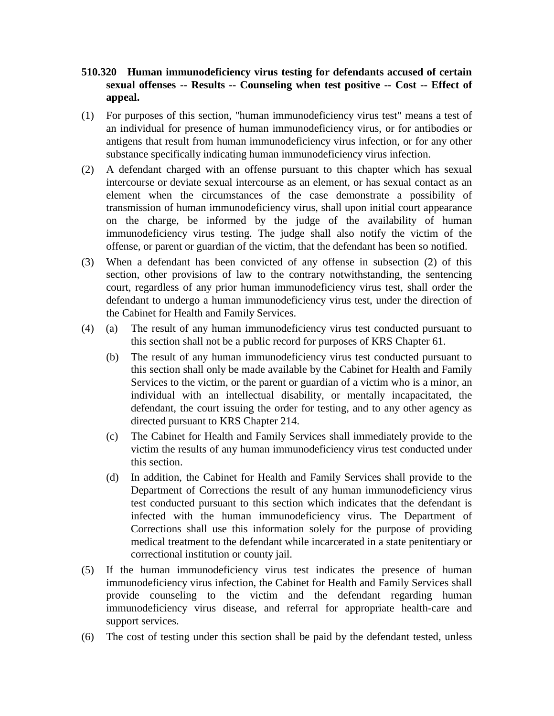## **510.320 Human immunodeficiency virus testing for defendants accused of certain sexual offenses -- Results -- Counseling when test positive -- Cost -- Effect of appeal.**

- (1) For purposes of this section, "human immunodeficiency virus test" means a test of an individual for presence of human immunodeficiency virus, or for antibodies or antigens that result from human immunodeficiency virus infection, or for any other substance specifically indicating human immunodeficiency virus infection.
- (2) A defendant charged with an offense pursuant to this chapter which has sexual intercourse or deviate sexual intercourse as an element, or has sexual contact as an element when the circumstances of the case demonstrate a possibility of transmission of human immunodeficiency virus, shall upon initial court appearance on the charge, be informed by the judge of the availability of human immunodeficiency virus testing. The judge shall also notify the victim of the offense, or parent or guardian of the victim, that the defendant has been so notified.
- (3) When a defendant has been convicted of any offense in subsection (2) of this section, other provisions of law to the contrary notwithstanding, the sentencing court, regardless of any prior human immunodeficiency virus test, shall order the defendant to undergo a human immunodeficiency virus test, under the direction of the Cabinet for Health and Family Services.
- (4) (a) The result of any human immunodeficiency virus test conducted pursuant to this section shall not be a public record for purposes of KRS Chapter 61.
	- (b) The result of any human immunodeficiency virus test conducted pursuant to this section shall only be made available by the Cabinet for Health and Family Services to the victim, or the parent or guardian of a victim who is a minor, an individual with an intellectual disability, or mentally incapacitated, the defendant, the court issuing the order for testing, and to any other agency as directed pursuant to KRS Chapter 214.
	- (c) The Cabinet for Health and Family Services shall immediately provide to the victim the results of any human immunodeficiency virus test conducted under this section.
	- (d) In addition, the Cabinet for Health and Family Services shall provide to the Department of Corrections the result of any human immunodeficiency virus test conducted pursuant to this section which indicates that the defendant is infected with the human immunodeficiency virus. The Department of Corrections shall use this information solely for the purpose of providing medical treatment to the defendant while incarcerated in a state penitentiary or correctional institution or county jail.
- (5) If the human immunodeficiency virus test indicates the presence of human immunodeficiency virus infection, the Cabinet for Health and Family Services shall provide counseling to the victim and the defendant regarding human immunodeficiency virus disease, and referral for appropriate health-care and support services.
- (6) The cost of testing under this section shall be paid by the defendant tested, unless